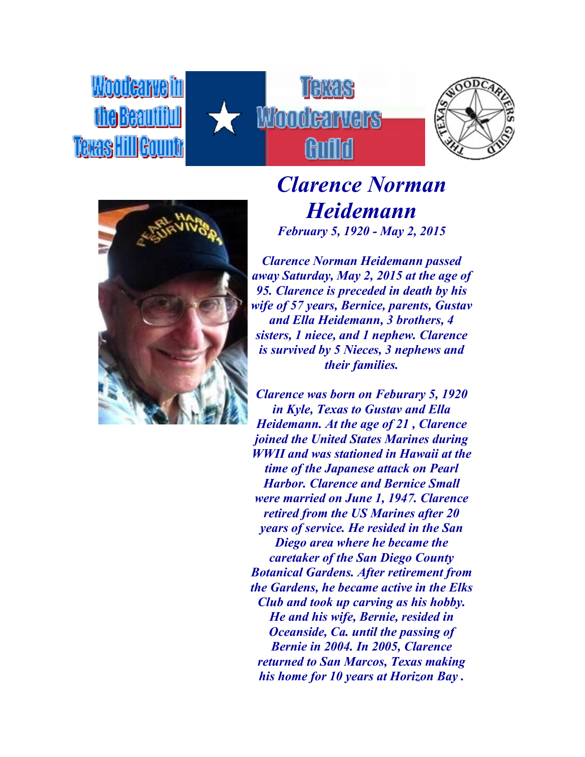**Woodcarvein fhe Beautiful** Texas Hill Gountr







*Clarence Norman Heidemann February 5, 1920 - May 2, 2015*

*Clarence Norman Heidemann passed away Saturday, May 2, 2015 at the age of 95. Clarence is preceded in death by his wife of 57 years, Bernice, parents, Gustav and Ella Heidemann, 3 brothers, 4 sisters, 1 niece, and 1 nephew. Clarence is survived by 5 Nieces, 3 nephews and their families.*

*Clarence was born on Feburary 5, 1920 in Kyle, Texas to Gustav and Ella Heidemann. At the age of 21 , Clarence joined the United States Marines during WWII and was stationed in Hawaii at the time of the Japanese attack on Pearl Harbor. Clarence and Bernice Small were married on June 1, 1947. Clarence retired from the US Marines after 20 years of service. He resided in the San Diego area where he became the caretaker of the San Diego County Botanical Gardens. After retirement from the Gardens, he became active in the Elks Club and took up carving as his hobby. He and his wife, Bernie, resided in Oceanside, Ca. until the passing of Bernie in 2004. In 2005, Clarence returned to San Marcos, Texas making his home for 10 years at Horizon Bay .*